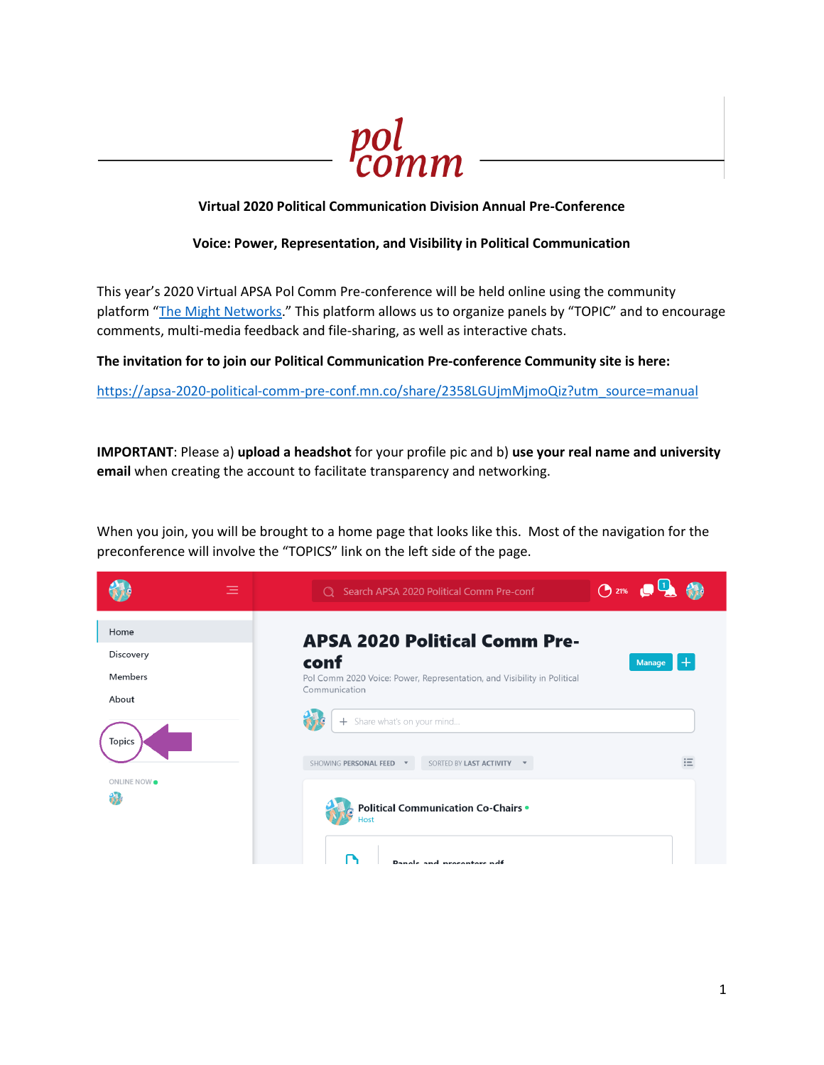

### **Virtual 2020 Political Communication Division Annual Pre-Conference**

#### **Voice: Power, Representation, and Visibility in Political Communication**

This year's 2020 Virtual APSA Pol Comm Pre-conference will be held online using the community platform "[The Might Networks](https://www.mightynetworks.com/)." This platform allows us to organize panels by "TOPIC" and to encourage comments, multi-media feedback and file-sharing, as well as interactive chats.

**The invitation for to join our Political Communication Pre-conference Community site is here:**

[https://apsa-2020-political-comm-pre-conf.mn.co/share/2358LGUjmMjmoQiz?utm\\_source=manual](https://apsa-2020-political-comm-pre-conf.mn.co/share/2358LGUjmMjmoQiz?utm_source=manual)

**IMPORTANT**: Please a) **upload a headshot** for your profile pic and b) **use your real name and university email** when creating the account to facilitate transparency and networking.

When you join, you will be brought to a home page that looks like this. Most of the navigation for the preconference will involve the "TOPICS" link on the left side of the page.

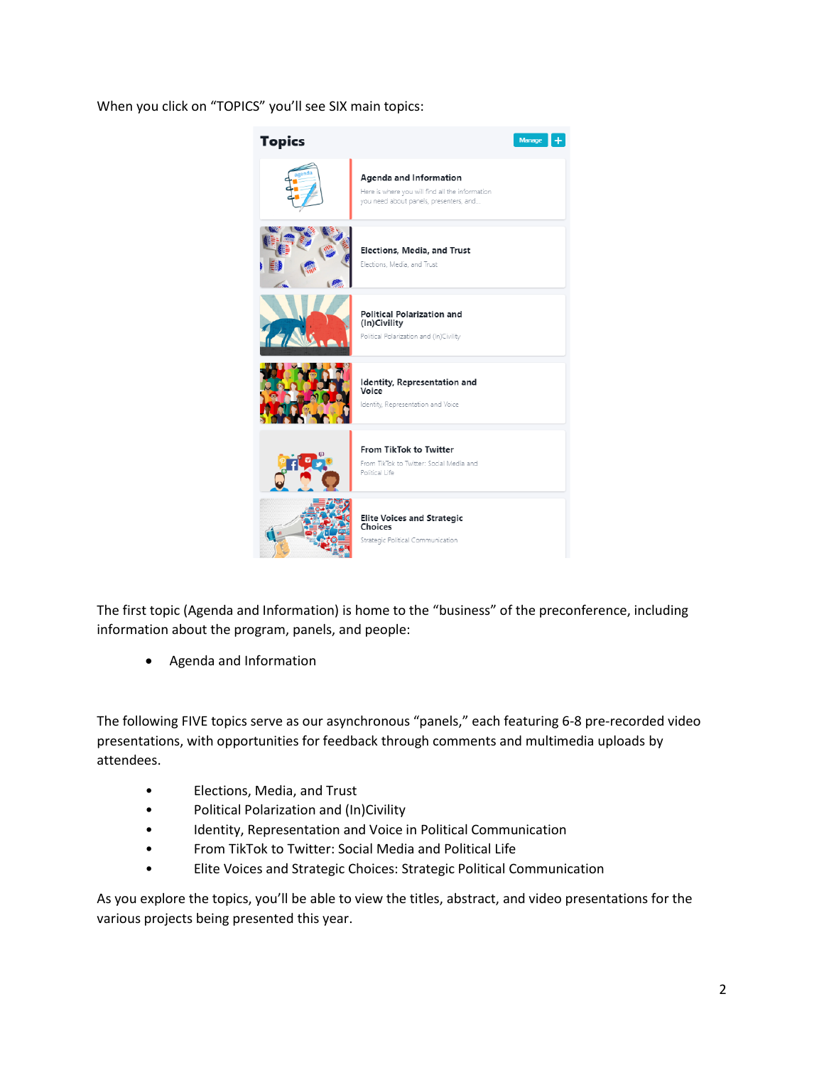When you click on "TOPICS" you'll see SIX main topics:



The first topic (Agenda and Information) is home to the "business" of the preconference, including information about the program, panels, and people:

• Agenda and Information

The following FIVE topics serve as our asynchronous "panels," each featuring 6-8 pre-recorded video presentations, with opportunities for feedback through comments and multimedia uploads by attendees.

- Elections, Media, and Trust
- Political Polarization and (In)Civility
- Identity, Representation and Voice in Political Communication
- From TikTok to Twitter: Social Media and Political Life
- Elite Voices and Strategic Choices: Strategic Political Communication

As you explore the topics, you'll be able to view the titles, abstract, and video presentations for the various projects being presented this year.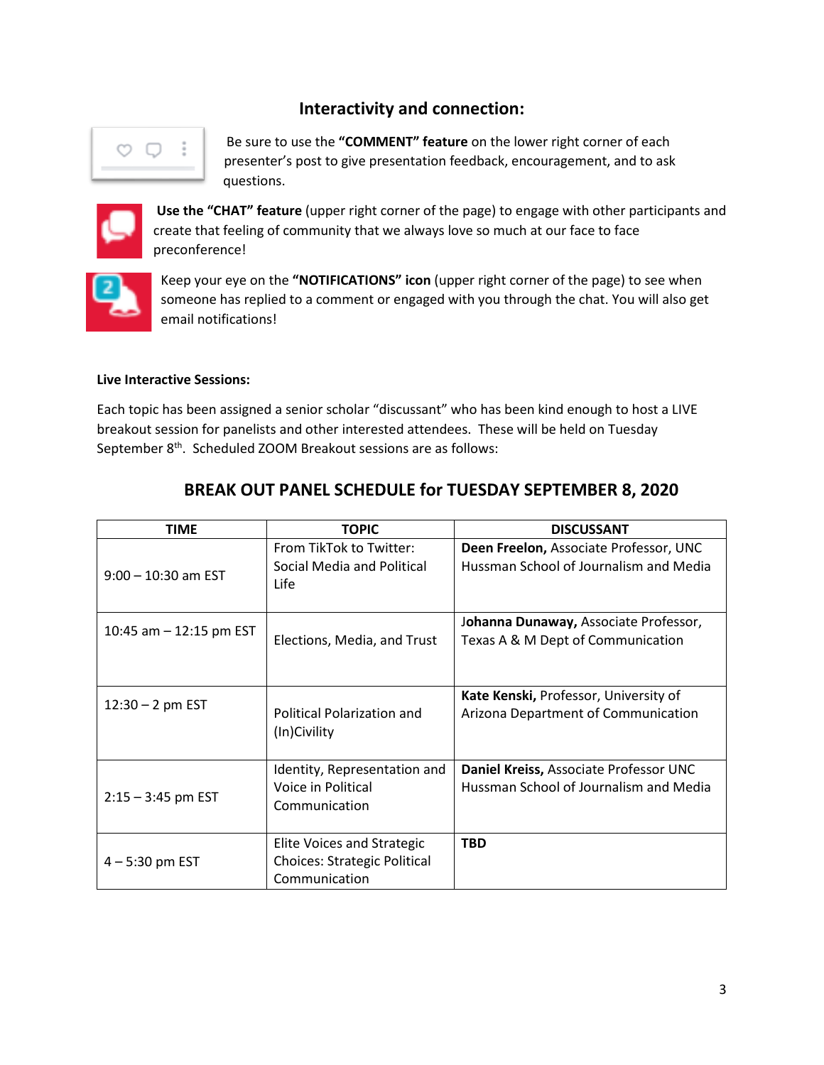# **Interactivity and connection:**



Be sure to use the **"COMMENT" feature** on the lower right corner of each presenter's post to give presentation feedback, encouragement, and to ask questions.



**Use the "CHAT" feature** (upper right corner of the page) to engage with other participants and create that feeling of community that we always love so much at our face to face preconference!



Keep your eye on the **"NOTIFICATIONS" icon** (upper right corner of the page) to see when someone has replied to a comment or engaged with you through the chat. You will also get email notifications!

#### **Live Interactive Sessions:**

Each topic has been assigned a senior scholar "discussant" who has been kind enough to host a LIVE breakout session for panelists and other interested attendees. These will be held on Tuesday September 8<sup>th</sup>. Scheduled ZOOM Breakout sessions are as follows:

| <b>TIME</b>               | <b>TOPIC</b>                                                                       | <b>DISCUSSANT</b>                                                                |
|---------------------------|------------------------------------------------------------------------------------|----------------------------------------------------------------------------------|
| $9:00 - 10:30$ am EST     | From TikTok to Twitter:<br>Social Media and Political<br>Life                      | Deen Freelon, Associate Professor, UNC<br>Hussman School of Journalism and Media |
| 10:45 am $-$ 12:15 pm EST | Elections, Media, and Trust                                                        | Johanna Dunaway, Associate Professor,<br>Texas A & M Dept of Communication       |
| $12:30 - 2$ pm EST        | <b>Political Polarization and</b><br>(In)Civility                                  | Kate Kenski, Professor, University of<br>Arizona Department of Communication     |
| $2:15 - 3:45$ pm EST      | Identity, Representation and<br>Voice in Political<br>Communication                | Daniel Kreiss, Associate Professor UNC<br>Hussman School of Journalism and Media |
| $4 - 5:30$ pm EST         | Elite Voices and Strategic<br><b>Choices: Strategic Political</b><br>Communication | <b>TBD</b>                                                                       |

# **BREAK OUT PANEL SCHEDULE for TUESDAY SEPTEMBER 8, 2020**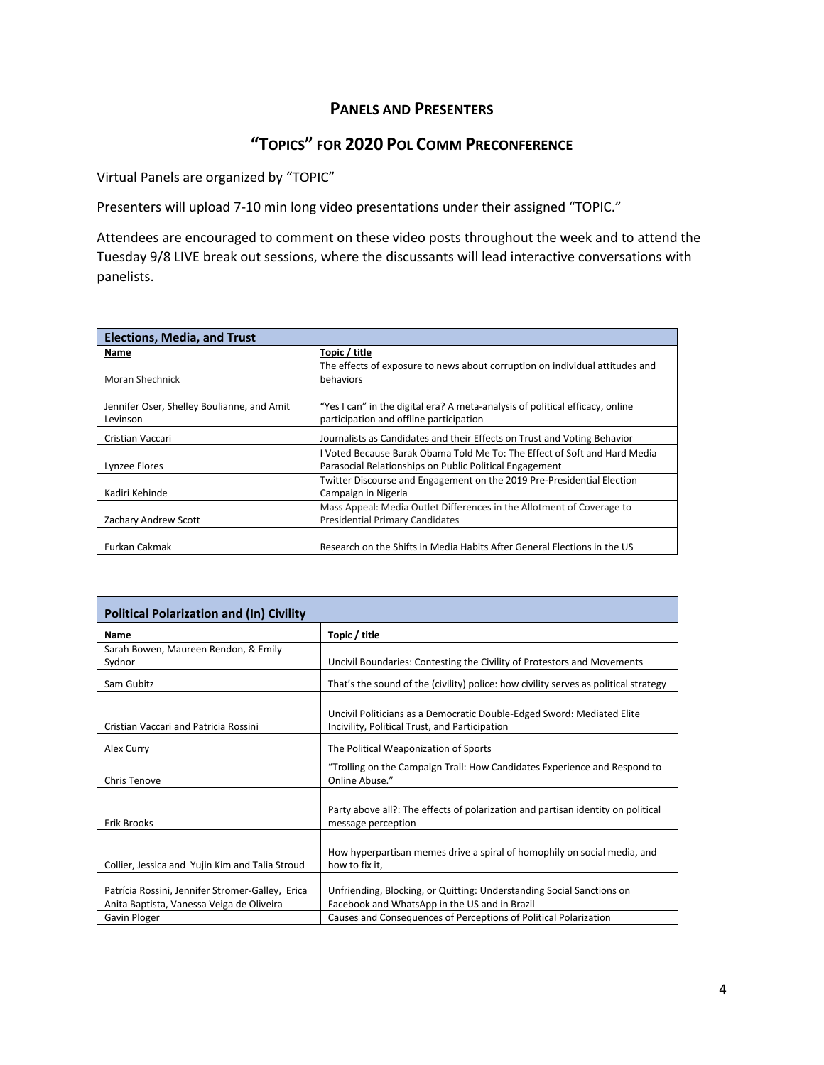## **PANELS AND PRESENTERS**

# **"TOPICS" FOR 2020 POL COMM PRECONFERENCE**

Virtual Panels are organized by "TOPIC"

Presenters will upload 7-10 min long video presentations under their assigned "TOPIC."

Attendees are encouraged to comment on these video posts throughout the week and to attend the Tuesday 9/8 LIVE break out sessions, where the discussants will lead interactive conversations with panelists.

| <b>Elections, Media, and Trust</b>                     |                                                                                                                                      |
|--------------------------------------------------------|--------------------------------------------------------------------------------------------------------------------------------------|
| Name                                                   | Topic / title                                                                                                                        |
|                                                        | The effects of exposure to news about corruption on individual attitudes and                                                         |
| Moran Shechnick                                        | behaviors                                                                                                                            |
| Jennifer Oser, Shelley Boulianne, and Amit<br>Levinson | "Yes I can" in the digital era? A meta-analysis of political efficacy, online<br>participation and offline participation             |
| Cristian Vaccari                                       | Journalists as Candidates and their Effects on Trust and Voting Behavior                                                             |
| Lynzee Flores                                          | I Voted Because Barak Obama Told Me To: The Effect of Soft and Hard Media<br>Parasocial Relationships on Public Political Engagement |
| Kadiri Kehinde                                         | Twitter Discourse and Engagement on the 2019 Pre-Presidential Election<br>Campaign in Nigeria                                        |
| Zachary Andrew Scott                                   | Mass Appeal: Media Outlet Differences in the Allotment of Coverage to<br><b>Presidential Primary Candidates</b>                      |
| Furkan Cakmak                                          | Research on the Shifts in Media Habits After General Elections in the US                                                             |

| <b>Political Polarization and (In) Civility</b>                                               |                                                                                                                          |
|-----------------------------------------------------------------------------------------------|--------------------------------------------------------------------------------------------------------------------------|
| Name                                                                                          | Topic / title                                                                                                            |
| Sarah Bowen, Maureen Rendon, & Emily<br>Sydnor                                                | Uncivil Boundaries: Contesting the Civility of Protestors and Movements                                                  |
| Sam Gubitz                                                                                    | That's the sound of the (civility) police: how civility serves as political strategy                                     |
| Cristian Vaccari and Patricia Rossini                                                         | Uncivil Politicians as a Democratic Double-Edged Sword: Mediated Elite<br>Incivility, Political Trust, and Participation |
| Alex Curry                                                                                    | The Political Weaponization of Sports                                                                                    |
| Chris Tenove                                                                                  | "Trolling on the Campaign Trail: How Candidates Experience and Respond to<br>Online Abuse."                              |
| Erik Brooks                                                                                   | Party above all?: The effects of polarization and partisan identity on political<br>message perception                   |
| Collier, Jessica and Yujin Kim and Talia Stroud                                               | How hyperpartisan memes drive a spiral of homophily on social media, and<br>how to fix it,                               |
| Patrícia Rossini, Jennifer Stromer-Galley, Erica<br>Anita Baptista, Vanessa Veiga de Oliveira | Unfriending, Blocking, or Quitting: Understanding Social Sanctions on<br>Facebook and WhatsApp in the US and in Brazil   |
| Gavin Ploger                                                                                  | Causes and Consequences of Perceptions of Political Polarization                                                         |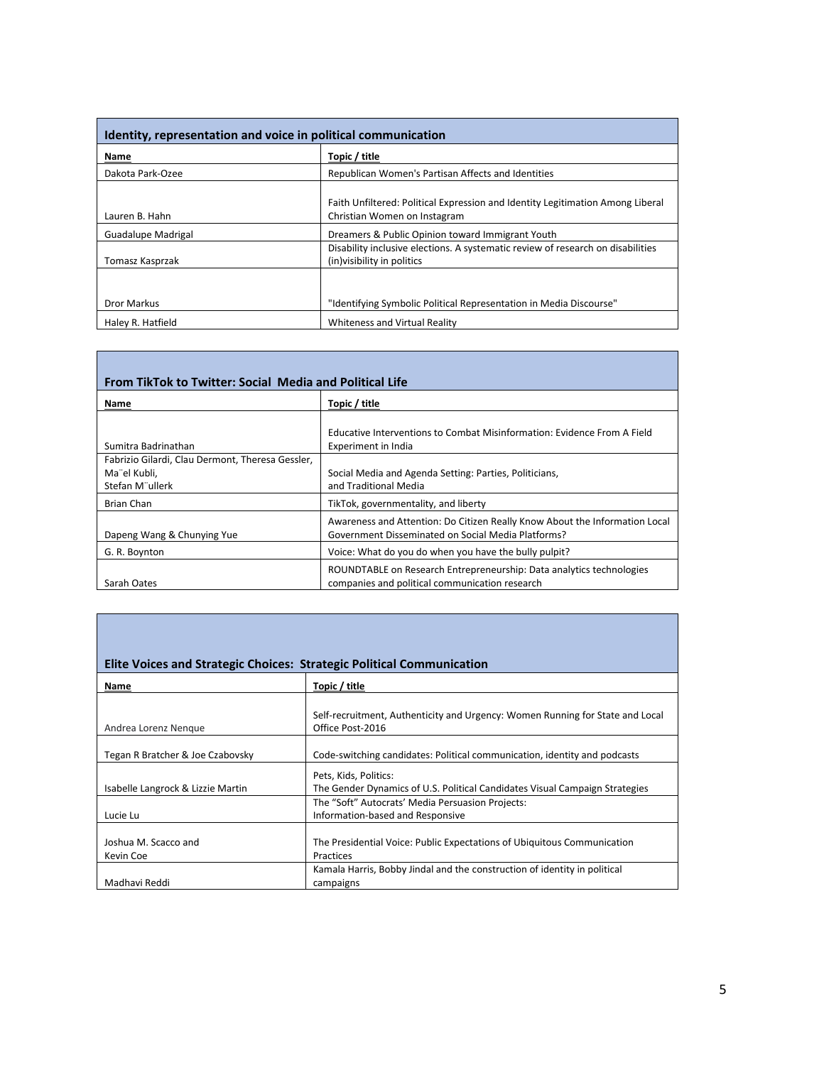| Identity, representation and voice in political communication |                                                                                                                |
|---------------------------------------------------------------|----------------------------------------------------------------------------------------------------------------|
| Name                                                          | Topic / title                                                                                                  |
| Dakota Park-Ozee                                              | Republican Women's Partisan Affects and Identities                                                             |
| Lauren B. Hahn                                                | Faith Unfiltered: Political Expression and Identity Legitimation Among Liberal<br>Christian Women on Instagram |
| Guadalupe Madrigal                                            | Dreamers & Public Opinion toward Immigrant Youth                                                               |
| Tomasz Kasprzak                                               | Disability inclusive elections. A systematic review of research on disabilities<br>(in) visibility in politics |
|                                                               |                                                                                                                |
| <b>Dror Markus</b>                                            | "Identifying Symbolic Political Representation in Media Discourse"                                             |
| Haley R. Hatfield                                             | Whiteness and Virtual Reality                                                                                  |

| <b>From TikTok to Twitter: Social Media and Political Life</b>                      |                                                                                                                                   |
|-------------------------------------------------------------------------------------|-----------------------------------------------------------------------------------------------------------------------------------|
| Name                                                                                | Topic / title                                                                                                                     |
| Sumitra Badrinathan                                                                 | Educative Interventions to Combat Misinformation: Evidence From A Field<br>Experiment in India                                    |
| Fabrizio Gilardi, Clau Dermont, Theresa Gessler,<br>Ma"el Kubli,<br>Stefan M"ullerk | Social Media and Agenda Setting: Parties, Politicians,<br>and Traditional Media                                                   |
| Brian Chan                                                                          | TikTok, governmentality, and liberty                                                                                              |
| Dapeng Wang & Chunying Yue                                                          | Awareness and Attention: Do Citizen Really Know About the Information Local<br>Government Disseminated on Social Media Platforms? |
| G. R. Boynton                                                                       | Voice: What do you do when you have the bully pulpit?                                                                             |
| Sarah Oates                                                                         | ROUNDTABLE on Research Entrepreneurship: Data analytics technologies<br>companies and political communication research            |

|                                   | Elite Voices and Strategic Choices: Strategic Political Communication                             |
|-----------------------------------|---------------------------------------------------------------------------------------------------|
| Name                              | Topic / title                                                                                     |
|                                   |                                                                                                   |
| Andrea Lorenz Nengue              | Self-recruitment, Authenticity and Urgency: Women Running for State and Local<br>Office Post-2016 |
|                                   |                                                                                                   |
| Tegan R Bratcher & Joe Czabovsky  | Code-switching candidates: Political communication, identity and podcasts                         |
|                                   | Pets, Kids, Politics:                                                                             |
| Isabelle Langrock & Lizzie Martin | The Gender Dynamics of U.S. Political Candidates Visual Campaign Strategies                       |
|                                   | The "Soft" Autocrats' Media Persuasion Projects:                                                  |
| Lucie Lu                          | Information-based and Responsive                                                                  |
|                                   |                                                                                                   |
| Joshua M. Scacco and              | The Presidential Voice: Public Expectations of Ubiquitous Communication                           |
| Kevin Coe                         | Practices                                                                                         |
|                                   | Kamala Harris, Bobby Jindal and the construction of identity in political                         |
| Madhavi Reddi                     | campaigns                                                                                         |